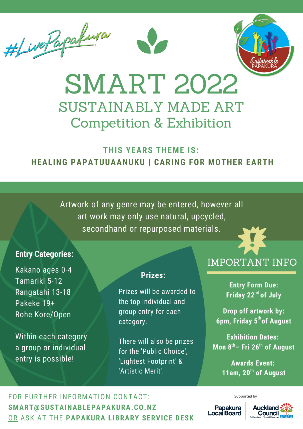



# SMART 2022 SUSTAINABLY MADE ART Competition & Exhibition

## **THIS YEARS THEME IS: HEALING PAPATUUAANUKU | CARING FOR MOTHER EARTH**

Artwork of any genre may be entered, however all art work may only use natural, upcycled, secondhand or repurposed materials.

#### **Entry Categories:**

Kakano ages 0-4 Tamariki 5-12 Rangatahi 13-18 Pakeke 19+ Rohe Kore/Open

Within each category a group or individual entry is possible!

#### **Prizes:**

Prizes will be awarded to the top individual and group entry for each category.

There will also be prizes for the 'Public Choice', 'Lightest Footprint' & 'Artistic Merit'.

## IMPORTANT INFO

**Entry Form Due:** Friday 22<sup>nd</sup> of July

**Drop off artwork by: 6pm, Friday 5 of August** th

**Exhibition Dates: Mon 8 – Fri 26 of August** th th

> **Awards Event:** 11am, 20<sup>th</sup> of August

> > Supported by

FOR FURTHER INFORMATION CONTACT: **SMART@SUSTAINABLEPAPAKURA.CO.NZ** OR ASK AT THE **PAPAKURA LIBRARY SERVICE DESK**

Papakura<br>Locai Board

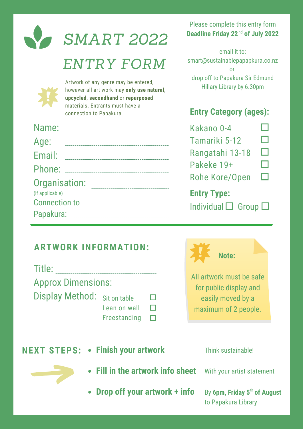|                                   | <b>SMART 2022</b>                                                                                                        | Please c<br><b>Deadline</b> |
|-----------------------------------|--------------------------------------------------------------------------------------------------------------------------|-----------------------------|
|                                   | ENTRY FORM                                                                                                               | smart@su                    |
|                                   | Artwork of any genre may be entered,<br>however all art work may only use natural,<br>upcycled, secondhand or repurposed | drop off<br>Hilla           |
|                                   | materials. Entrants must have a<br>connection to Papakura.                                                               | <b>Entry (</b>              |
|                                   |                                                                                                                          | Kakan                       |
| Age:                              |                                                                                                                          | Tamar                       |
| Email:                            |                                                                                                                          | Ranga                       |
|                                   |                                                                                                                          | Pakek                       |
|                                   | Organisation: Manual Companisation                                                                                       | Rohe I                      |
| (if applicable)                   |                                                                                                                          | <b>Entry</b> 1              |
| <b>Connection to</b><br>Papakura: |                                                                                                                          | <b>Individ</b>              |

### Please complete this entry form **Deadline Friday 22<sup>nd</sup> of July 2022**

email it to: istainablepapapkura.co.nz or to Papakura Sir Edmund ary Library by 6.30pm

## **Entry Category (ages):**

| Kakano 0-4                     |  |  |  |
|--------------------------------|--|--|--|
| Tamariki 5-12                  |  |  |  |
| Rangatahi 13-18                |  |  |  |
| Pakeke 19+                     |  |  |  |
| <b>Rohe Kore/Open</b>          |  |  |  |
| <b>Entry Type:</b>             |  |  |  |
| Individual $\Box$ Group $\Box$ |  |  |  |

## **ARTWORK INFORMATION:**

| Title:                       |              |   |  |  |
|------------------------------|--------------|---|--|--|
| <b>Approx Dimensions:</b>    |              |   |  |  |
| Display Method: Sit on table |              | H |  |  |
|                              | Lean on wall |   |  |  |

Freestanding  $\quad \Box$ 



for public display and easily moved by a maximum of 2 people.

| <b>NEXT STEPS: • Finish your artwork</b> | Think sustainable!                                              |
|------------------------------------------|-----------------------------------------------------------------|
| • Fill in the artwork info sheet         | With your artist statement                                      |
| • Drop off your artwork + info           | By 6pm, Friday 5 <sup>th</sup> of August<br>to Papakura Library |